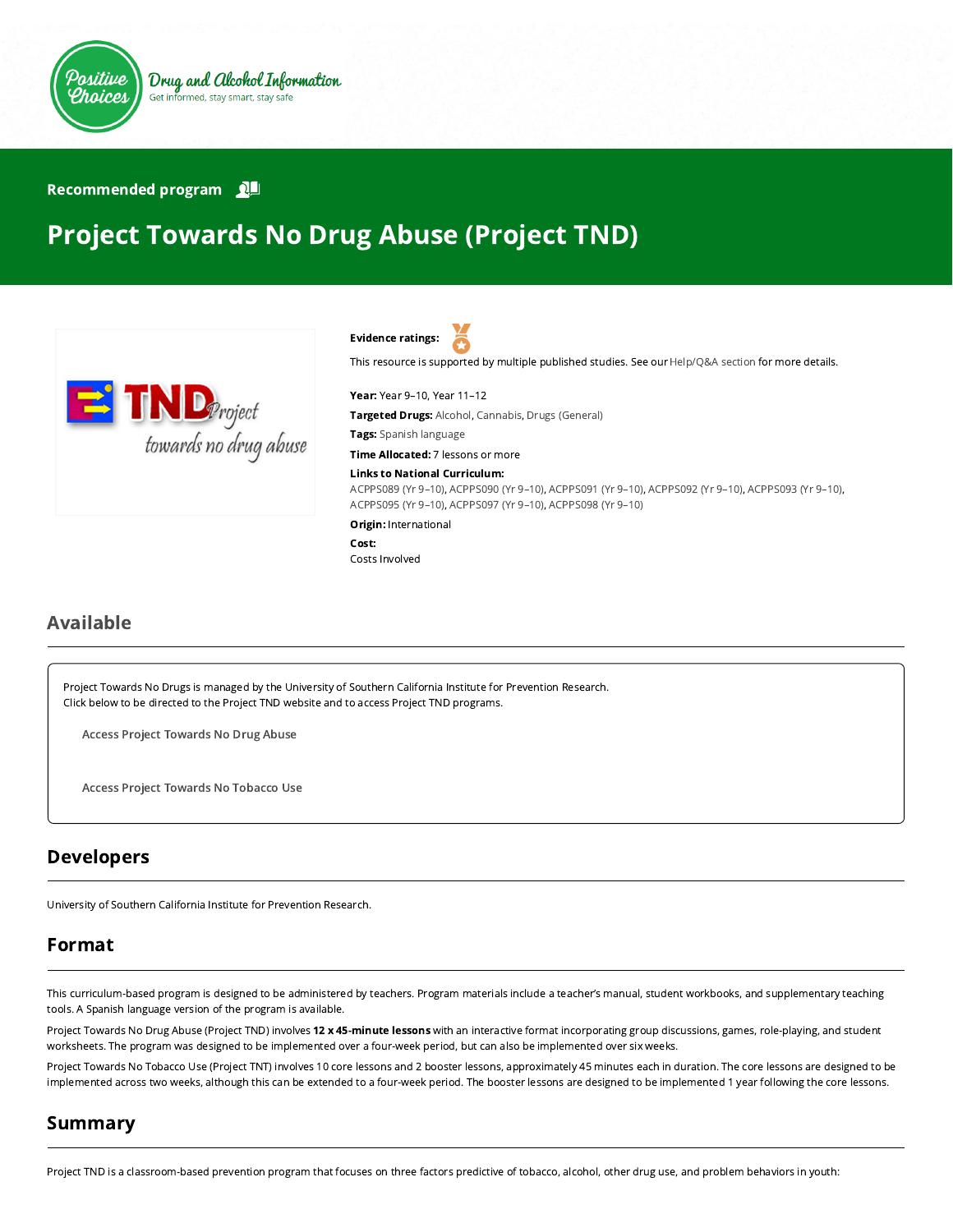

#### Recommended program

# Project Towards No Drug Abuse (Project TND)



Evidence ratings:

This resource is supported by multiple published studies. See our [Help/Q&A section](https://positivechoices.org.au/help/questions-and-answers/) for more details.

Year: Year 9–10, Year 11–12

Targeted Drugs: Alcohol, Cannabis, Drugs (General)

Tags: Spanish language

Time Allocated: 7 lessons or more

Links to National Curriculum:

[ACPPS089 \(Yr 9–10\),](http://www.australiancurriculum.edu.au/Curriculum/ContentDescription/ACPPS089) [ACPPS090 \(Yr 9–10\),](http://www.australiancurriculum.edu.au/Curriculum/ContentDescription/ACPPS090) [ACPPS091 \(Yr 9–10\),](http://www.australiancurriculum.edu.au/Curriculum/ContentDescription/ACPPS091) [ACPPS092 \(Yr 9–10\)](http://www.australiancurriculum.edu.au/Curriculum/ContentDescription/ACPPS092), [ACPPS093 \(Yr 9–10\)](http://www.australiancurriculum.edu.au/Curriculum/ContentDescription/ACPPS093), [ACPPS095 \(Yr 9–10\),](http://www.australiancurriculum.edu.au/Curriculum/ContentDescription/ACPPS095) [ACPPS097 \(Yr 9–10\),](http://www.australiancurriculum.edu.au/Curriculum/ContentDescription/ACPPS097) [ACPPS098 \(Yr 9–10\)](http://www.australiancurriculum.edu.au/Curriculum/ContentDescription/ACPPS098)

Origin: International

Cost:

Costs Involved

# Available

Project Towards No Drugs is managed by the University of Southern California Institute for Prevention Research. Click below to be directed to the Project TND website and to access Project TND programs.

Access Project [Towards](https://tnd.usc.edu/) No Drug Abuse

Access Project [Towards](https://tnt.usc.edu/) No Tobacco Use

# Developers

University of Southern California Institute for Prevention Research.

# Format

This curriculum-based program is designed to be administered by teachers. Program materials include a teacher's manual, student workbooks, and supplementary teaching tools. A Spanish language version of the program is available.

Project Towards No Drug Abuse (Project TND) involves 12 x 45-minute lessons with an interactive format incorporating group discussions, games, role-playing, and student worksheets. The program was designed to be implemented over a four-week period, but can also be implemented over six weeks.

Project Towards No Tobacco Use (Project TNT) involves 10 core lessons and 2 booster lessons, approximately 45 minutes each in duration. The core lessons are designed to be implemented across two weeks, although this can be extended to a four-week period. The booster lessons are designed to be implemented 1 year following the core lessons.

# Summary

Project TND is a classroom-based prevention program that focuses on three factors predictive of tobacco, alcohol, other drug use, and problem behaviors in youth: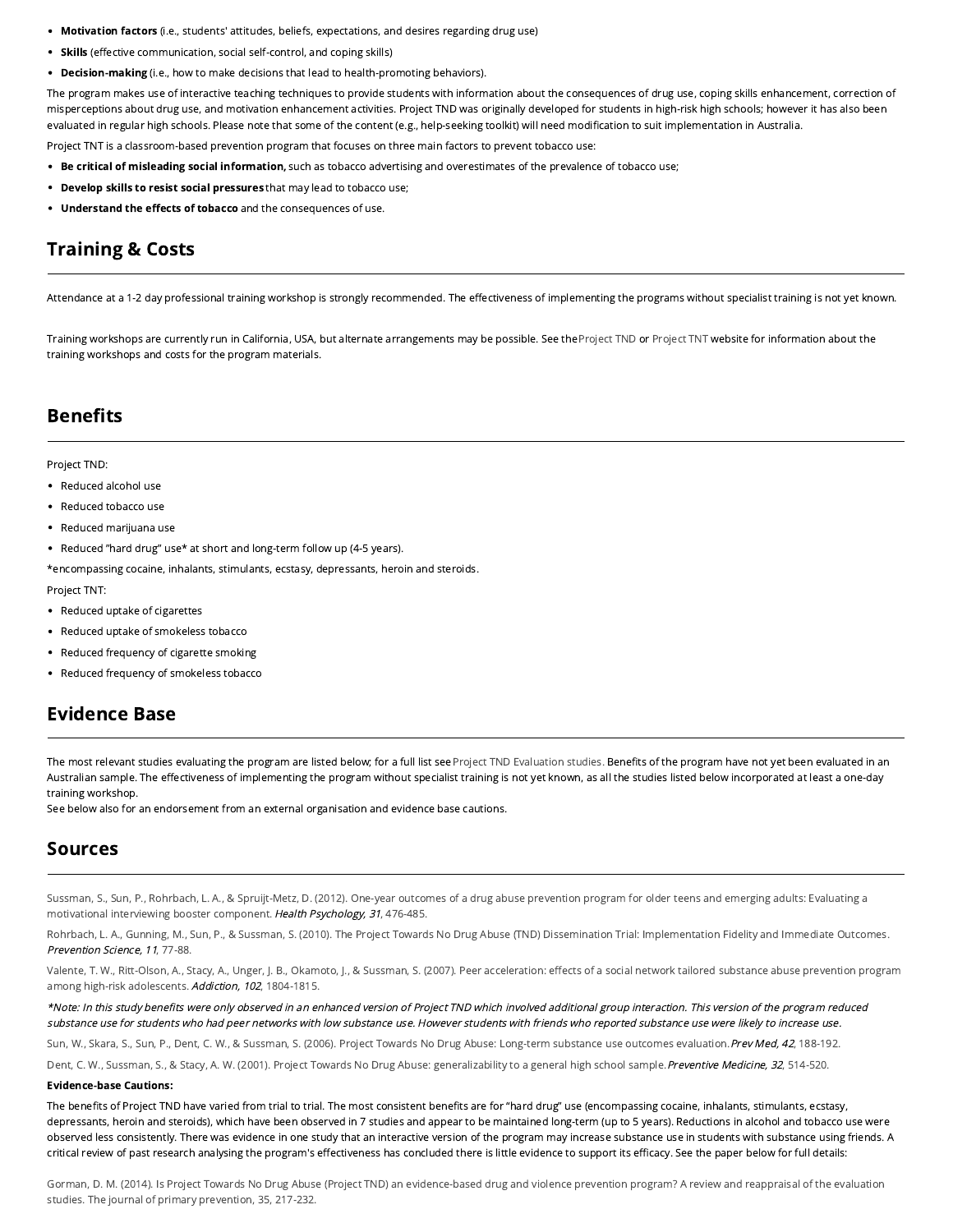- Motivation factors (i.e., students' attitudes, beliefs, expectations, and desires regarding drug use)
- Skills (effective communication, social self-control, and coping skills)
- **Decision-making** (i.e., how to make decisions that lead to health-promoting behaviors).

The program makes use of interactive teaching techniques to provide students with information about the consequences of drug use, coping skills enhancement, correction of misperceptions about drug use, and motivation enhancement activities. Project TND was originally developed for students in high-risk high schools; however it has also been evaluated in regular high schools. Please note that some of the content (e.g., help-seeking toolkit) will need modification to suit implementation in Australia.

Project TNT is a classroom-based prevention program that focuses on three main factors to prevent tobacco use:

- . Be critical of misleading social information, such as tobacco advertising and overestimates of the prevalence of tobacco use;
- Develop skills to resist social pressures that may lead to tobacco use;
- Understand the effects of tobacco and the consequences of use.

# Training & Costs

Attendance at a 1-2 day professional training workshop is strongly recommended. The effectiveness of implementing the programs without specialist training is not yet known.

Training workshops are currently run in California, USA, but alternate arrangements may be possible. See the [Project TND](https://tnd.usc.edu/?page_id=40) or [Project TNT](https://tnt.usc.edu/?page_id=44) website for information about the training workshops and costs for the program materials.

## **Benefits**

#### Project TND:

- Reduced alcohol use
- Reduced tobacco use
- Reduced marijuana use
- Reduced "hard drug" use\* at short and long-term follow up (4-5 years).

\*encompassing cocaine, inhalants, stimulants, ecstasy, depressants, heroin and steroids.

Project TNT:

- Reduced uptake of cigarettes
- Reduced uptake of smokeless tobacco
- Reduced frequency of cigarette smoking
- Reduced frequency of smokeless tobacco

## Evidence Base

The most relevant studies evaluating the program are listed below; for a full list se[e Project TND Evaluation studies.](https://tnd.usc.edu/?page_id=38) Benefits of the program have not yet been evaluated in an Australian sample. The effectiveness of implementing the program without specialist training is not yet known, as all the studies listed below incorporated at least a one-day training workshop.

See below also for an endorsement from an external organisation and evidence base cautions.

### Sources

[Sussman, S., Sun, P., Rohrbach, L. A., & Spruijt-Metz, D. \(2012\). One-year outcomes of a drug abuse prevention program for older teens and emerging adults: Evaluating a](http://psycnet.apa.org/journals/hea/31/4/476/) motivational interviewing booster component. Health Psychology, 31, 476-485.

[Rohrbach, L. A., Gunning, M., Sun, P., & Sussman, S. \(2010\). The Project Towards No Drug Abuse \(TND\) Dissemination Trial: Implementation Fidelity and Immediate Outcomes](http://link.springer.com/article/10.1007/s11121-009-0151-z). Prevention Science, 11, 77-88.

Valente, T. W., Ritt-Olson, A., Stacy, A., Unger, J. B., Okamoto, J., & Sussman, S. (2007). Peer acceleration: effects of a social network tailored substance abuse prevention program among high-risk adolescents. Addiction, 102, 1804-1815.

\*Note: In this study benefits were only observed in an enhanced version of Project TND which involved additional group interaction. This version of the program reduced substance use for students who had peer networks with low substance use. However students with friends who reported substance use were likely to increase use.

[Sun, W., Skara, S., Sun, P., Dent, C. W., & Sussman, S. \(2006\). Project Towards No Drug Abuse: Long-term substance use outcomes evaluation.](http://www.sciencedirect.com/science/article/pii/S0091743501908345) Prev Med, 42, 188-192.

[Dent, C. W., Sussman, S., & Stacy, A. W. \(2001\). Project Towards No Drug Abuse: generalizability to a general high school sample.](http://www.sciencedirect.com/science/article/pii/S0091743501908345) Preventive Medicine, 32, 514-520.

#### Evidence-base Cautions:

The benefits of Project TND have varied from trial to trial. The most consistent benefits are for "hard drug" use (encompassing cocaine, inhalants, stimulants, ecstasy, depressants, heroin and steroids), which have been observed in 7 studies and appear to be maintained long-term (up to 5 years). Reductions in alcohol and tobacco use were observed less consistently. There was evidence in one study that an interactive version of the program may increase substance use in students with substance using friends. A critical review of past research analysing the program's effectiveness has concluded there is little evidence to support its efficacy. See the paper below for full details:

[Gorman, D. M. \(2014\). Is Project Towards No Drug Abuse \(Project TND\) an evidence-based drug and violence prevention program? A review and reappraisal of the evaluation](https://www.ncbi.nlm.nih.gov/pubmed/24753017) studies. The journal of primary prevention, 35, 217-232.